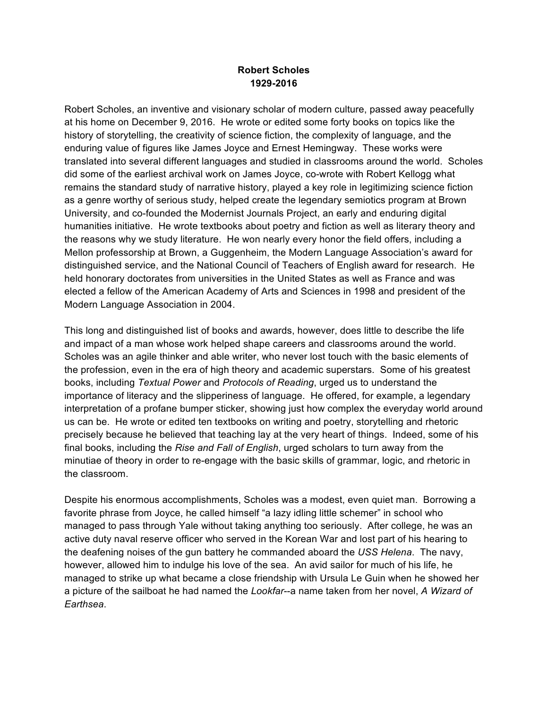## **Robert Scholes 1929-2016**

Robert Scholes, an inventive and visionary scholar of modern culture, passed away peacefully at his home on December 9, 2016. He wrote or edited some forty books on topics like the history of storytelling, the creativity of science fiction, the complexity of language, and the enduring value of figures like James Joyce and Ernest Hemingway. These works were translated into several different languages and studied in classrooms around the world. Scholes did some of the earliest archival work on James Joyce, co-wrote with Robert Kellogg what remains the standard study of narrative history, played a key role in legitimizing science fiction as a genre worthy of serious study, helped create the legendary semiotics program at Brown University, and co-founded the Modernist Journals Project, an early and enduring digital humanities initiative. He wrote textbooks about poetry and fiction as well as literary theory and the reasons why we study literature. He won nearly every honor the field offers, including a Mellon professorship at Brown, a Guggenheim, the Modern Language Association's award for distinguished service, and the National Council of Teachers of English award for research. He held honorary doctorates from universities in the United States as well as France and was elected a fellow of the American Academy of Arts and Sciences in 1998 and president of the Modern Language Association in 2004.

This long and distinguished list of books and awards, however, does little to describe the life and impact of a man whose work helped shape careers and classrooms around the world. Scholes was an agile thinker and able writer, who never lost touch with the basic elements of the profession, even in the era of high theory and academic superstars. Some of his greatest books, including *Textual Power* and *Protocols of Reading*, urged us to understand the importance of literacy and the slipperiness of language. He offered, for example, a legendary interpretation of a profane bumper sticker, showing just how complex the everyday world around us can be. He wrote or edited ten textbooks on writing and poetry, storytelling and rhetoric precisely because he believed that teaching lay at the very heart of things. Indeed, some of his final books, including the *Rise and Fall of English*, urged scholars to turn away from the minutiae of theory in order to re-engage with the basic skills of grammar, logic, and rhetoric in the classroom.

Despite his enormous accomplishments, Scholes was a modest, even quiet man. Borrowing a favorite phrase from Joyce, he called himself "a lazy idling little schemer" in school who managed to pass through Yale without taking anything too seriously. After college, he was an active duty naval reserve officer who served in the Korean War and lost part of his hearing to the deafening noises of the gun battery he commanded aboard the *USS Helena*. The navy, however, allowed him to indulge his love of the sea. An avid sailor for much of his life, he managed to strike up what became a close friendship with Ursula Le Guin when he showed her a picture of the sailboat he had named the *Lookfar*--a name taken from her novel, *A Wizard of Earthsea*.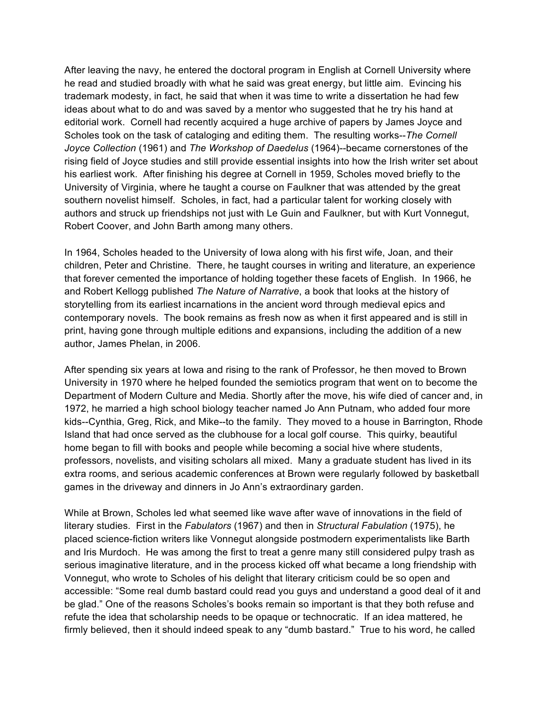After leaving the navy, he entered the doctoral program in English at Cornell University where he read and studied broadly with what he said was great energy, but little aim. Evincing his trademark modesty, in fact, he said that when it was time to write a dissertation he had few ideas about what to do and was saved by a mentor who suggested that he try his hand at editorial work. Cornell had recently acquired a huge archive of papers by James Joyce and Scholes took on the task of cataloging and editing them. The resulting works--*The Cornell Joyce Collection* (1961) and *The Workshop of Daedelus* (1964)--became cornerstones of the rising field of Joyce studies and still provide essential insights into how the Irish writer set about his earliest work. After finishing his degree at Cornell in 1959, Scholes moved briefly to the University of Virginia, where he taught a course on Faulkner that was attended by the great southern novelist himself. Scholes, in fact, had a particular talent for working closely with authors and struck up friendships not just with Le Guin and Faulkner, but with Kurt Vonnegut, Robert Coover, and John Barth among many others.

In 1964, Scholes headed to the University of Iowa along with his first wife, Joan, and their children, Peter and Christine. There, he taught courses in writing and literature, an experience that forever cemented the importance of holding together these facets of English. In 1966, he and Robert Kellogg published *The Nature of Narrative*, a book that looks at the history of storytelling from its earliest incarnations in the ancient word through medieval epics and contemporary novels. The book remains as fresh now as when it first appeared and is still in print, having gone through multiple editions and expansions, including the addition of a new author, James Phelan, in 2006.

After spending six years at Iowa and rising to the rank of Professor, he then moved to Brown University in 1970 where he helped founded the semiotics program that went on to become the Department of Modern Culture and Media. Shortly after the move, his wife died of cancer and, in 1972, he married a high school biology teacher named Jo Ann Putnam, who added four more kids--Cynthia, Greg, Rick, and Mike--to the family. They moved to a house in Barrington, Rhode Island that had once served as the clubhouse for a local golf course. This quirky, beautiful home began to fill with books and people while becoming a social hive where students, professors, novelists, and visiting scholars all mixed. Many a graduate student has lived in its extra rooms, and serious academic conferences at Brown were regularly followed by basketball games in the driveway and dinners in Jo Ann's extraordinary garden.

While at Brown, Scholes led what seemed like wave after wave of innovations in the field of literary studies. First in the *Fabulators* (1967) and then in *Structural Fabulation* (1975), he placed science-fiction writers like Vonnegut alongside postmodern experimentalists like Barth and Iris Murdoch. He was among the first to treat a genre many still considered pulpy trash as serious imaginative literature, and in the process kicked off what became a long friendship with Vonnegut, who wrote to Scholes of his delight that literary criticism could be so open and accessible: "Some real dumb bastard could read you guys and understand a good deal of it and be glad." One of the reasons Scholes's books remain so important is that they both refuse and refute the idea that scholarship needs to be opaque or technocratic. If an idea mattered, he firmly believed, then it should indeed speak to any "dumb bastard." True to his word, he called